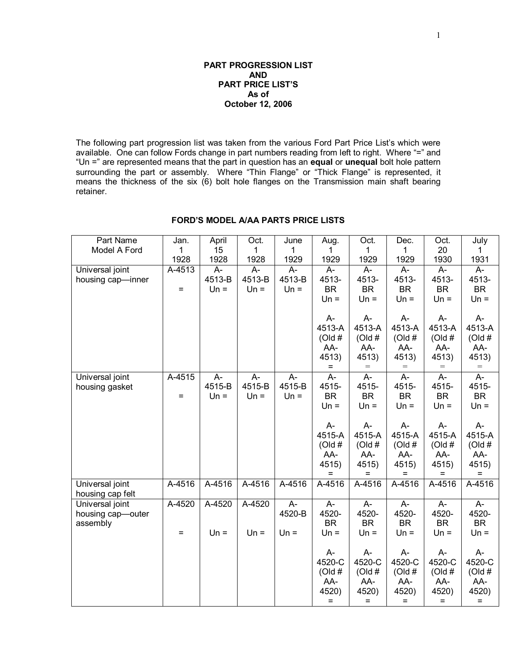#### **PART PROGRESSION LIST AND PART PRICE LIST'S As of October 12, 2006**

The following part progression list was taken from the various Ford Part Price List's which were available. One can follow Fords change in part numbers reading from left to right. Where "=" and "Un =" are represented means that the part in question has an **equal** or **unequal** bolt hole pattern surrounding the part or assembly. Where "Thin Flange" or "Thick Flange" is represented, it means the thickness of the six (6) bolt hole flanges on the Transmission main shaft bearing retainer.

| Part Name         | Jan.   | April  | Oct.   | June   | Aug.       | Oct.       | Dec.           | Oct.         | July              |
|-------------------|--------|--------|--------|--------|------------|------------|----------------|--------------|-------------------|
| Model A Ford      | 1      | 15     | 1      | 1      | 1.         | 1          | 1              | 20           | 1                 |
|                   | 1928   | 1928   | 1928   | 1929   | 1929       | 1929       | 1929           | 1930         | 1931              |
| Universal joint   | A-4513 | $A -$  | A-     | A-     | A-         | $A -$      | $A -$          | $A -$        | A-                |
| housing cap-inner |        | 4513-B | 4513-B | 4513-B | 4513-      | 4513-      | 4513-          | 4513-        | 4513-             |
|                   | $=$    | $Un =$ | $Un =$ | $Un =$ | <b>BR</b>  | <b>BR</b>  | <b>BR</b>      | <b>BR</b>    | <b>BR</b>         |
|                   |        |        |        |        | $Un =$     | $Un =$     | $Un =$         | $Un =$       | $Un =$            |
|                   |        |        |        |        |            |            |                |              |                   |
|                   |        |        |        |        | A-         | $A -$      | A-             | A-           | A-                |
|                   |        |        |        |        | 4513-A     | 4513-A     | 4513-A         | 4513-A       | 4513-A            |
|                   |        |        |        |        | (Old#      | (Old#      | (Old#          | (Old#        | (Old#             |
|                   |        |        |        |        | AA-        | AA-        | AA-            | AA-          | AA-               |
|                   |        |        |        |        | 4513)      | 4513)      | 4513)          | 4513)        | 4513)             |
|                   |        |        |        |        | $=$        | $=$        | $=$            | $=$          | $=$               |
| Universal joint   | A-4515 | A-     | A-     | A-     | A-         | A-         | $\overline{A}$ | A-           | $\overline{A}$    |
| housing gasket    |        | 4515-B | 4515-B | 4515-B | 4515-      | 4515-      | 4515-          | 4515-        | 4515-             |
|                   | $=$    | $Un =$ | $Un =$ | $Un =$ | <b>BR</b>  | <b>BR</b>  | <b>BR</b>      | <b>BR</b>    | <b>BR</b>         |
|                   |        |        |        |        | $Un =$     | $Un =$     | $Un =$         | $Un =$       | $Un =$            |
|                   |        |        |        |        |            |            |                |              |                   |
|                   |        |        |        |        | A-         | A-         | $A -$          | $A-$         | $A-$<br>4515-A    |
|                   |        |        |        |        | 4515-A     | 4515-A     | 4515-A         | 4515-A       |                   |
|                   |        |        |        |        | $($ Old #  | (Old#      | (Old#          | (Old#        | (Old#             |
|                   |        |        |        |        | AA-        | AA-        | AA-            | AA-          | AA-               |
|                   |        |        |        |        | 4515)<br>= | 4515)<br>= | 4515)<br>Ξ     | 4515)<br>$=$ | 4515)<br>$=$      |
| Universal joint   | A-4516 | A-4516 | A-4516 | A-4516 | A-4516     | A-4516     | A-4516         | A-4516       | A-4516            |
| housing cap felt  |        |        |        |        |            |            |                |              |                   |
| Universal joint   | A-4520 | A-4520 | A-4520 | A-     | A-         | A-         | A-             | $A -$        | A-                |
| housing cap-outer |        |        |        | 4520-B | 4520-      | 4520-      | 4520-          | 4520-        | 4520-             |
| assembly          |        |        |        |        | <b>BR</b>  | <b>BR</b>  | <b>BR</b>      | <b>BR</b>    | <b>BR</b>         |
|                   | $=$    | $Un =$ | $Un =$ | $Un =$ | $Un =$     | $Un =$     | $Un =$         | $Un =$       | $Un =$            |
|                   |        |        |        |        |            |            |                |              |                   |
|                   |        |        |        |        | A-         | A-         | A-             | A-           | А-                |
|                   |        |        |        |        | 4520-C     | 4520-C     | 4520-C         | 4520-C       | 4520-C            |
|                   |        |        |        |        | (Old#      | (Old#      | (Old#          | (Old#        | (Old#             |
|                   |        |        |        |        | AA-        | AA-        | AA-            | AA-          | AA-               |
|                   |        |        |        |        | 4520)      | 4520)      | 4520)          | 4520)        | 4520)             |
|                   |        |        |        |        | $\equiv$   | $=$        | $=$            | $=$          | $\qquad \qquad =$ |

## **FORD'S MODEL A/AA PARTS PRICE LISTS**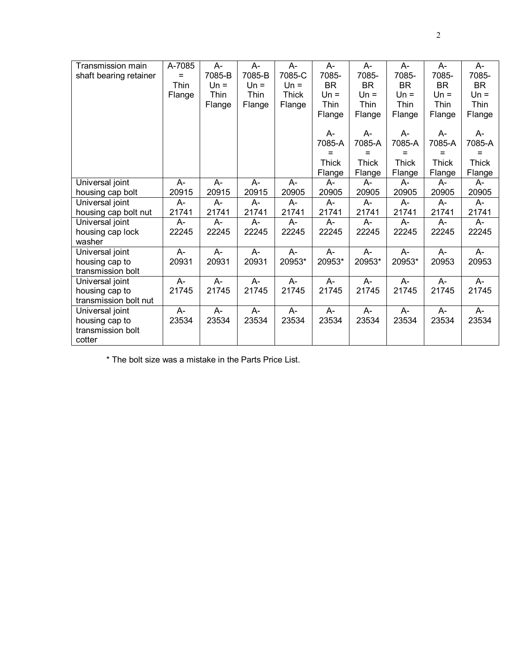| A-7085<br>A-<br>A-<br>A-<br>$A -$<br>Transmission main<br>A-<br>A-                     | A-           | $A -$     |
|----------------------------------------------------------------------------------------|--------------|-----------|
| 7085-B<br>7085-B<br>7085-C<br>7085-<br>7085-<br>7085-<br>shaft bearing retainer<br>$=$ | 7085-        | 7085-     |
| <b>BR</b><br><b>BR</b><br><b>BR</b><br>Thin<br>$Un =$<br>$Un =$<br>$Un =$              | <b>BR</b>    | <b>BR</b> |
| Thin<br>Thin<br><b>Thick</b><br>$Un =$<br>$Un =$<br>$Un =$<br>Flange                   | $Un =$       | $Un =$    |
| Thin<br>Thin<br>Thin<br>Flange<br>Flange<br>Flange                                     | Thin         | Thin      |
| Flange<br>Flange<br>Flange                                                             | Flange       | Flange    |
|                                                                                        |              |           |
| A-<br>A-<br>A-                                                                         | A-           | A-        |
| 7085-A<br>7085-A<br>7085-A                                                             | 7085-A       | 7085-A    |
| $=$<br>$=$<br>$=$                                                                      | $=$          | $=$       |
| <b>Thick</b><br><b>Thick</b><br>Thick                                                  | <b>Thick</b> | Thick     |
| Flange<br>Flange<br>Flange                                                             | Flange       | Flange    |
| Universal joint<br>А-<br>$A -$<br>A-<br>A-<br>A-<br>A-<br>A-                           | A-           | A-        |
| 20915<br>20905<br>20905<br>20915<br>20915<br>20905<br>20905<br>housing cap bolt        | 20905        | 20905     |
| Universal joint<br>$A-$<br>$A -$<br>А-<br>А-<br>A-<br>A-<br>A-                         | A-           | А-        |
| 21741<br>21741<br>21741<br>21741<br>21741<br>21741<br>21741<br>housing cap bolt nut    | 21741        | 21741     |
| Universal joint<br>$A -$<br>$A -$<br>A-<br>$A -$<br>$A -$<br>A-<br>A-                  | $A -$        | A-        |
| 22245<br>22245<br>22245<br>22245<br>22245<br>22245<br>22245<br>housing cap lock        | 22245        | 22245     |
| washer                                                                                 |              |           |
| Universal joint<br>$A -$<br>$A -$<br>$A -$<br>$A -$<br>$A -$<br>$A -$<br>$A -$         | $A -$        | $A -$     |
| 20931<br>20931<br>20953*<br>20953*<br>20953*<br>20931<br>20953*<br>housing cap to      | 20953        | 20953     |
| transmission bolt                                                                      |              |           |
| $A -$<br>A-<br>A-<br>Universal joint<br>A-<br>A-<br>A-<br>$A -$                        | $A -$        | A-        |
| 21745<br>21745<br>21745<br>21745<br>21745<br>21745<br>21745<br>housing cap to          | 21745        | 21745     |
| transmission bolt nut                                                                  |              |           |
| $A -$<br>$A-$<br>A-<br>$A -$<br>$A -$<br>A-<br>$A -$<br>Universal joint                | $A-$         | $A-$      |
| 23534<br>23534<br>23534<br>23534<br>23534<br>23534<br>23534<br>housing cap to          | 23534        | 23534     |
| transmission bolt                                                                      |              |           |
| cotter                                                                                 |              |           |

\* The bolt size was a mistake in the Parts Price List.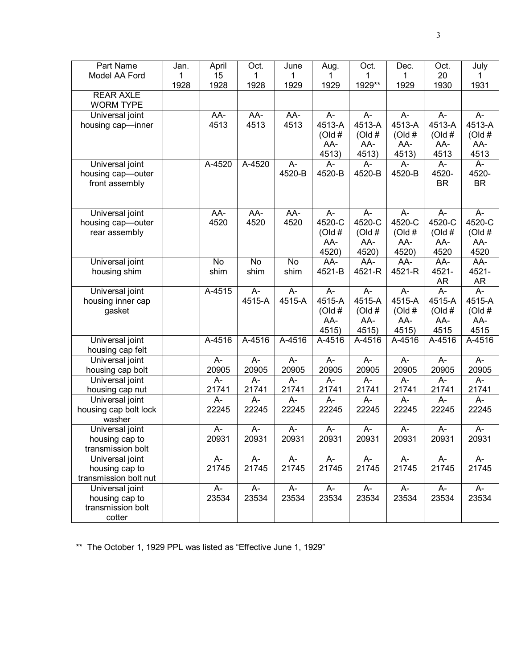| 1<br>1<br>1<br>1929**<br>1928<br>1929<br>1929<br>1931<br>1928<br>1928<br>1929<br>1930<br><b>REAR AXLE</b><br><b>WORM TYPE</b><br>AA-<br>AA-<br>AA-<br>A-<br>$A-$<br>A-<br>A-<br>Universal joint<br>A-<br>4513<br>4513-A<br>4513-A<br>4513-A<br>4513-A<br>4513-A<br>4513<br>4513<br>housing cap-inner<br>(Old#<br>(Old#<br>(Old#<br>(Old#<br>(Old #<br>AA-<br>AA-<br>AA-<br>AA-<br>AA-<br>4513<br>4513)<br>4513)<br>4513)<br>4513<br>A-4520<br>A-4520<br>A-<br>A-<br>Universal joint<br>А-<br>A-<br>A-<br>A-<br>4520-<br>4520-B<br>4520-B<br>4520-B<br>4520-B<br>4520-<br>housing cap-outer<br><b>BR</b><br><b>BR</b><br>front assembly<br>Universal joint<br>AA-<br>AA-<br>AA-<br>A-<br>A-<br>$A -$<br>A-<br>A-<br>4520-C<br>4520-C<br>4520-C<br>4520<br>4520<br>4520<br>4520-C<br>4520-C<br>housing cap-outer<br>(Old#<br>(Old#<br>(Old#<br>rear assembly<br>(Old#<br>(Old#<br>AA-<br>AA-<br>AA-<br>AA-<br>AA-<br>4520<br>4520)<br>4520)<br>4520)<br>4520<br>AA-<br>Universal joint<br>No<br>No<br>AA-<br>AA-<br>AA-<br>AA-<br>No<br>4521-<br>shim<br>shim<br>shim<br>4521-B<br>4521-R<br>4521-R<br>4521-<br>housing shim<br>AR<br>AR<br>$\overline{A}$<br>$\overline{A}$<br>Universal joint<br>A-4515<br>A-<br>A-<br>A-<br>A-<br>$A -$<br>4515-A<br>4515-A<br>4515-A<br>4515-A<br>4515-A<br>4515-A<br>4515-A<br>housing inner cap<br>(Old#<br>(Old#<br>(Old#<br>(Old#<br>(Old#<br>gasket<br>AA-<br>AA-<br>AA-<br>AA-<br>AA-<br>4515<br>4515)<br>4515)<br>4515)<br>4515<br>Universal joint<br>A-4516<br>A-4516<br>A-4516<br>A-4516<br>A-4516<br>A-4516<br>A-4516<br>A-4516<br>housing cap felt<br>Universal joint<br>A-<br>A-<br>A-<br>A-<br>$A -$<br>$A -$<br>$A -$<br>$A -$<br>20905<br>20905<br>20905<br>20905<br>20905<br>20905<br>20905<br>20905<br>housing cap bolt<br>Universal joint<br>A-<br>А-<br>А-<br>А-<br>$A -$<br>А-<br>А-<br>A-<br>21741<br>21741<br>21741<br>21741<br>21741<br>21741<br>21741<br>21741<br>housing cap nut<br>Universal joint<br>A-<br>A-<br>A-<br>A-<br>A-<br>A-<br>A-<br>A-<br>22245<br>22245<br>22245<br>22245<br>22245<br>22245<br>22245<br>22245<br>housing cap bolt lock<br>washer<br>$A-$<br>A-<br>A-<br>A-<br>A-<br>A-<br>A-<br>Universal joint<br>A- | Part Name      | Jan. | April | Oct.  | June  | Aug.  | Oct.  | Dec.  | Oct.  | July  |
|------------------------------------------------------------------------------------------------------------------------------------------------------------------------------------------------------------------------------------------------------------------------------------------------------------------------------------------------------------------------------------------------------------------------------------------------------------------------------------------------------------------------------------------------------------------------------------------------------------------------------------------------------------------------------------------------------------------------------------------------------------------------------------------------------------------------------------------------------------------------------------------------------------------------------------------------------------------------------------------------------------------------------------------------------------------------------------------------------------------------------------------------------------------------------------------------------------------------------------------------------------------------------------------------------------------------------------------------------------------------------------------------------------------------------------------------------------------------------------------------------------------------------------------------------------------------------------------------------------------------------------------------------------------------------------------------------------------------------------------------------------------------------------------------------------------------------------------------------------------------------------------------------------------------------------------------------------------------------------------------------------------------------------------------------------------------------------------------------------------------------------------------------------------------------------------------|----------------|------|-------|-------|-------|-------|-------|-------|-------|-------|
|                                                                                                                                                                                                                                                                                                                                                                                                                                                                                                                                                                                                                                                                                                                                                                                                                                                                                                                                                                                                                                                                                                                                                                                                                                                                                                                                                                                                                                                                                                                                                                                                                                                                                                                                                                                                                                                                                                                                                                                                                                                                                                                                                                                                | Model AA Ford  | 1    | 15    | 1     |       |       |       | 1     | 20    |       |
|                                                                                                                                                                                                                                                                                                                                                                                                                                                                                                                                                                                                                                                                                                                                                                                                                                                                                                                                                                                                                                                                                                                                                                                                                                                                                                                                                                                                                                                                                                                                                                                                                                                                                                                                                                                                                                                                                                                                                                                                                                                                                                                                                                                                |                |      |       |       |       |       |       |       |       |       |
|                                                                                                                                                                                                                                                                                                                                                                                                                                                                                                                                                                                                                                                                                                                                                                                                                                                                                                                                                                                                                                                                                                                                                                                                                                                                                                                                                                                                                                                                                                                                                                                                                                                                                                                                                                                                                                                                                                                                                                                                                                                                                                                                                                                                |                |      |       |       |       |       |       |       |       |       |
|                                                                                                                                                                                                                                                                                                                                                                                                                                                                                                                                                                                                                                                                                                                                                                                                                                                                                                                                                                                                                                                                                                                                                                                                                                                                                                                                                                                                                                                                                                                                                                                                                                                                                                                                                                                                                                                                                                                                                                                                                                                                                                                                                                                                |                |      |       |       |       |       |       |       |       |       |
|                                                                                                                                                                                                                                                                                                                                                                                                                                                                                                                                                                                                                                                                                                                                                                                                                                                                                                                                                                                                                                                                                                                                                                                                                                                                                                                                                                                                                                                                                                                                                                                                                                                                                                                                                                                                                                                                                                                                                                                                                                                                                                                                                                                                |                |      |       |       |       |       |       |       |       |       |
|                                                                                                                                                                                                                                                                                                                                                                                                                                                                                                                                                                                                                                                                                                                                                                                                                                                                                                                                                                                                                                                                                                                                                                                                                                                                                                                                                                                                                                                                                                                                                                                                                                                                                                                                                                                                                                                                                                                                                                                                                                                                                                                                                                                                |                |      |       |       |       |       |       |       |       |       |
|                                                                                                                                                                                                                                                                                                                                                                                                                                                                                                                                                                                                                                                                                                                                                                                                                                                                                                                                                                                                                                                                                                                                                                                                                                                                                                                                                                                                                                                                                                                                                                                                                                                                                                                                                                                                                                                                                                                                                                                                                                                                                                                                                                                                |                |      |       |       |       |       |       |       |       |       |
|                                                                                                                                                                                                                                                                                                                                                                                                                                                                                                                                                                                                                                                                                                                                                                                                                                                                                                                                                                                                                                                                                                                                                                                                                                                                                                                                                                                                                                                                                                                                                                                                                                                                                                                                                                                                                                                                                                                                                                                                                                                                                                                                                                                                |                |      |       |       |       |       |       |       |       |       |
|                                                                                                                                                                                                                                                                                                                                                                                                                                                                                                                                                                                                                                                                                                                                                                                                                                                                                                                                                                                                                                                                                                                                                                                                                                                                                                                                                                                                                                                                                                                                                                                                                                                                                                                                                                                                                                                                                                                                                                                                                                                                                                                                                                                                |                |      |       |       |       |       |       |       |       |       |
|                                                                                                                                                                                                                                                                                                                                                                                                                                                                                                                                                                                                                                                                                                                                                                                                                                                                                                                                                                                                                                                                                                                                                                                                                                                                                                                                                                                                                                                                                                                                                                                                                                                                                                                                                                                                                                                                                                                                                                                                                                                                                                                                                                                                |                |      |       |       |       |       |       |       |       |       |
|                                                                                                                                                                                                                                                                                                                                                                                                                                                                                                                                                                                                                                                                                                                                                                                                                                                                                                                                                                                                                                                                                                                                                                                                                                                                                                                                                                                                                                                                                                                                                                                                                                                                                                                                                                                                                                                                                                                                                                                                                                                                                                                                                                                                |                |      |       |       |       |       |       |       |       |       |
|                                                                                                                                                                                                                                                                                                                                                                                                                                                                                                                                                                                                                                                                                                                                                                                                                                                                                                                                                                                                                                                                                                                                                                                                                                                                                                                                                                                                                                                                                                                                                                                                                                                                                                                                                                                                                                                                                                                                                                                                                                                                                                                                                                                                |                |      |       |       |       |       |       |       |       |       |
|                                                                                                                                                                                                                                                                                                                                                                                                                                                                                                                                                                                                                                                                                                                                                                                                                                                                                                                                                                                                                                                                                                                                                                                                                                                                                                                                                                                                                                                                                                                                                                                                                                                                                                                                                                                                                                                                                                                                                                                                                                                                                                                                                                                                |                |      |       |       |       |       |       |       |       |       |
|                                                                                                                                                                                                                                                                                                                                                                                                                                                                                                                                                                                                                                                                                                                                                                                                                                                                                                                                                                                                                                                                                                                                                                                                                                                                                                                                                                                                                                                                                                                                                                                                                                                                                                                                                                                                                                                                                                                                                                                                                                                                                                                                                                                                |                |      |       |       |       |       |       |       |       |       |
|                                                                                                                                                                                                                                                                                                                                                                                                                                                                                                                                                                                                                                                                                                                                                                                                                                                                                                                                                                                                                                                                                                                                                                                                                                                                                                                                                                                                                                                                                                                                                                                                                                                                                                                                                                                                                                                                                                                                                                                                                                                                                                                                                                                                |                |      |       |       |       |       |       |       |       |       |
|                                                                                                                                                                                                                                                                                                                                                                                                                                                                                                                                                                                                                                                                                                                                                                                                                                                                                                                                                                                                                                                                                                                                                                                                                                                                                                                                                                                                                                                                                                                                                                                                                                                                                                                                                                                                                                                                                                                                                                                                                                                                                                                                                                                                |                |      |       |       |       |       |       |       |       |       |
|                                                                                                                                                                                                                                                                                                                                                                                                                                                                                                                                                                                                                                                                                                                                                                                                                                                                                                                                                                                                                                                                                                                                                                                                                                                                                                                                                                                                                                                                                                                                                                                                                                                                                                                                                                                                                                                                                                                                                                                                                                                                                                                                                                                                |                |      |       |       |       |       |       |       |       |       |
|                                                                                                                                                                                                                                                                                                                                                                                                                                                                                                                                                                                                                                                                                                                                                                                                                                                                                                                                                                                                                                                                                                                                                                                                                                                                                                                                                                                                                                                                                                                                                                                                                                                                                                                                                                                                                                                                                                                                                                                                                                                                                                                                                                                                |                |      |       |       |       |       |       |       |       |       |
|                                                                                                                                                                                                                                                                                                                                                                                                                                                                                                                                                                                                                                                                                                                                                                                                                                                                                                                                                                                                                                                                                                                                                                                                                                                                                                                                                                                                                                                                                                                                                                                                                                                                                                                                                                                                                                                                                                                                                                                                                                                                                                                                                                                                |                |      |       |       |       |       |       |       |       |       |
|                                                                                                                                                                                                                                                                                                                                                                                                                                                                                                                                                                                                                                                                                                                                                                                                                                                                                                                                                                                                                                                                                                                                                                                                                                                                                                                                                                                                                                                                                                                                                                                                                                                                                                                                                                                                                                                                                                                                                                                                                                                                                                                                                                                                |                |      |       |       |       |       |       |       |       |       |
|                                                                                                                                                                                                                                                                                                                                                                                                                                                                                                                                                                                                                                                                                                                                                                                                                                                                                                                                                                                                                                                                                                                                                                                                                                                                                                                                                                                                                                                                                                                                                                                                                                                                                                                                                                                                                                                                                                                                                                                                                                                                                                                                                                                                |                |      |       |       |       |       |       |       |       |       |
|                                                                                                                                                                                                                                                                                                                                                                                                                                                                                                                                                                                                                                                                                                                                                                                                                                                                                                                                                                                                                                                                                                                                                                                                                                                                                                                                                                                                                                                                                                                                                                                                                                                                                                                                                                                                                                                                                                                                                                                                                                                                                                                                                                                                |                |      |       |       |       |       |       |       |       |       |
|                                                                                                                                                                                                                                                                                                                                                                                                                                                                                                                                                                                                                                                                                                                                                                                                                                                                                                                                                                                                                                                                                                                                                                                                                                                                                                                                                                                                                                                                                                                                                                                                                                                                                                                                                                                                                                                                                                                                                                                                                                                                                                                                                                                                |                |      |       |       |       |       |       |       |       |       |
|                                                                                                                                                                                                                                                                                                                                                                                                                                                                                                                                                                                                                                                                                                                                                                                                                                                                                                                                                                                                                                                                                                                                                                                                                                                                                                                                                                                                                                                                                                                                                                                                                                                                                                                                                                                                                                                                                                                                                                                                                                                                                                                                                                                                |                |      |       |       |       |       |       |       |       |       |
|                                                                                                                                                                                                                                                                                                                                                                                                                                                                                                                                                                                                                                                                                                                                                                                                                                                                                                                                                                                                                                                                                                                                                                                                                                                                                                                                                                                                                                                                                                                                                                                                                                                                                                                                                                                                                                                                                                                                                                                                                                                                                                                                                                                                |                |      |       |       |       |       |       |       |       |       |
|                                                                                                                                                                                                                                                                                                                                                                                                                                                                                                                                                                                                                                                                                                                                                                                                                                                                                                                                                                                                                                                                                                                                                                                                                                                                                                                                                                                                                                                                                                                                                                                                                                                                                                                                                                                                                                                                                                                                                                                                                                                                                                                                                                                                |                |      |       |       |       |       |       |       |       |       |
|                                                                                                                                                                                                                                                                                                                                                                                                                                                                                                                                                                                                                                                                                                                                                                                                                                                                                                                                                                                                                                                                                                                                                                                                                                                                                                                                                                                                                                                                                                                                                                                                                                                                                                                                                                                                                                                                                                                                                                                                                                                                                                                                                                                                |                |      |       |       |       |       |       |       |       |       |
|                                                                                                                                                                                                                                                                                                                                                                                                                                                                                                                                                                                                                                                                                                                                                                                                                                                                                                                                                                                                                                                                                                                                                                                                                                                                                                                                                                                                                                                                                                                                                                                                                                                                                                                                                                                                                                                                                                                                                                                                                                                                                                                                                                                                |                |      |       |       |       |       |       |       |       |       |
|                                                                                                                                                                                                                                                                                                                                                                                                                                                                                                                                                                                                                                                                                                                                                                                                                                                                                                                                                                                                                                                                                                                                                                                                                                                                                                                                                                                                                                                                                                                                                                                                                                                                                                                                                                                                                                                                                                                                                                                                                                                                                                                                                                                                |                |      |       |       |       |       |       |       |       |       |
|                                                                                                                                                                                                                                                                                                                                                                                                                                                                                                                                                                                                                                                                                                                                                                                                                                                                                                                                                                                                                                                                                                                                                                                                                                                                                                                                                                                                                                                                                                                                                                                                                                                                                                                                                                                                                                                                                                                                                                                                                                                                                                                                                                                                |                |      |       |       |       |       |       |       |       |       |
|                                                                                                                                                                                                                                                                                                                                                                                                                                                                                                                                                                                                                                                                                                                                                                                                                                                                                                                                                                                                                                                                                                                                                                                                                                                                                                                                                                                                                                                                                                                                                                                                                                                                                                                                                                                                                                                                                                                                                                                                                                                                                                                                                                                                |                |      |       |       |       |       |       |       |       |       |
|                                                                                                                                                                                                                                                                                                                                                                                                                                                                                                                                                                                                                                                                                                                                                                                                                                                                                                                                                                                                                                                                                                                                                                                                                                                                                                                                                                                                                                                                                                                                                                                                                                                                                                                                                                                                                                                                                                                                                                                                                                                                                                                                                                                                |                |      |       |       |       |       |       |       |       |       |
|                                                                                                                                                                                                                                                                                                                                                                                                                                                                                                                                                                                                                                                                                                                                                                                                                                                                                                                                                                                                                                                                                                                                                                                                                                                                                                                                                                                                                                                                                                                                                                                                                                                                                                                                                                                                                                                                                                                                                                                                                                                                                                                                                                                                |                |      |       |       |       |       |       |       |       |       |
|                                                                                                                                                                                                                                                                                                                                                                                                                                                                                                                                                                                                                                                                                                                                                                                                                                                                                                                                                                                                                                                                                                                                                                                                                                                                                                                                                                                                                                                                                                                                                                                                                                                                                                                                                                                                                                                                                                                                                                                                                                                                                                                                                                                                |                |      |       |       |       |       |       |       |       |       |
|                                                                                                                                                                                                                                                                                                                                                                                                                                                                                                                                                                                                                                                                                                                                                                                                                                                                                                                                                                                                                                                                                                                                                                                                                                                                                                                                                                                                                                                                                                                                                                                                                                                                                                                                                                                                                                                                                                                                                                                                                                                                                                                                                                                                |                |      |       |       |       |       |       |       |       |       |
|                                                                                                                                                                                                                                                                                                                                                                                                                                                                                                                                                                                                                                                                                                                                                                                                                                                                                                                                                                                                                                                                                                                                                                                                                                                                                                                                                                                                                                                                                                                                                                                                                                                                                                                                                                                                                                                                                                                                                                                                                                                                                                                                                                                                | housing cap to |      | 20931 | 20931 | 20931 | 20931 | 20931 | 20931 | 20931 | 20931 |
| transmission bolt                                                                                                                                                                                                                                                                                                                                                                                                                                                                                                                                                                                                                                                                                                                                                                                                                                                                                                                                                                                                                                                                                                                                                                                                                                                                                                                                                                                                                                                                                                                                                                                                                                                                                                                                                                                                                                                                                                                                                                                                                                                                                                                                                                              |                |      |       |       |       |       |       |       |       |       |
| $\overline{A}$ -<br>$A -$<br>$\overline{A}$ -<br>$\overline{A}$<br>$A -$<br>$A -$<br>$A -$<br>$\overline{A}$<br>Universal joint                                                                                                                                                                                                                                                                                                                                                                                                                                                                                                                                                                                                                                                                                                                                                                                                                                                                                                                                                                                                                                                                                                                                                                                                                                                                                                                                                                                                                                                                                                                                                                                                                                                                                                                                                                                                                                                                                                                                                                                                                                                                |                |      |       |       |       |       |       |       |       |       |
| housing cap to<br>21745<br>21745<br>21745<br>21745<br>21745<br>21745<br>21745<br>21745<br>transmission bolt nut                                                                                                                                                                                                                                                                                                                                                                                                                                                                                                                                                                                                                                                                                                                                                                                                                                                                                                                                                                                                                                                                                                                                                                                                                                                                                                                                                                                                                                                                                                                                                                                                                                                                                                                                                                                                                                                                                                                                                                                                                                                                                |                |      |       |       |       |       |       |       |       |       |
| A-<br>A-                                                                                                                                                                                                                                                                                                                                                                                                                                                                                                                                                                                                                                                                                                                                                                                                                                                                                                                                                                                                                                                                                                                                                                                                                                                                                                                                                                                                                                                                                                                                                                                                                                                                                                                                                                                                                                                                                                                                                                                                                                                                                                                                                                                       |                |      |       |       |       |       |       |       |       |       |
| Universal joint<br>A-<br>A-<br>A-<br>A-<br>A-<br>A-<br>23534<br>23534<br>23534<br>23534<br>23534<br>23534<br>23534<br>23534<br>housing cap to                                                                                                                                                                                                                                                                                                                                                                                                                                                                                                                                                                                                                                                                                                                                                                                                                                                                                                                                                                                                                                                                                                                                                                                                                                                                                                                                                                                                                                                                                                                                                                                                                                                                                                                                                                                                                                                                                                                                                                                                                                                  |                |      |       |       |       |       |       |       |       |       |
| transmission bolt                                                                                                                                                                                                                                                                                                                                                                                                                                                                                                                                                                                                                                                                                                                                                                                                                                                                                                                                                                                                                                                                                                                                                                                                                                                                                                                                                                                                                                                                                                                                                                                                                                                                                                                                                                                                                                                                                                                                                                                                                                                                                                                                                                              |                |      |       |       |       |       |       |       |       |       |
| cotter                                                                                                                                                                                                                                                                                                                                                                                                                                                                                                                                                                                                                                                                                                                                                                                                                                                                                                                                                                                                                                                                                                                                                                                                                                                                                                                                                                                                                                                                                                                                                                                                                                                                                                                                                                                                                                                                                                                                                                                                                                                                                                                                                                                         |                |      |       |       |       |       |       |       |       |       |

\*\* The October 1, 1929 PPL was listed as "Effective June 1, 1929"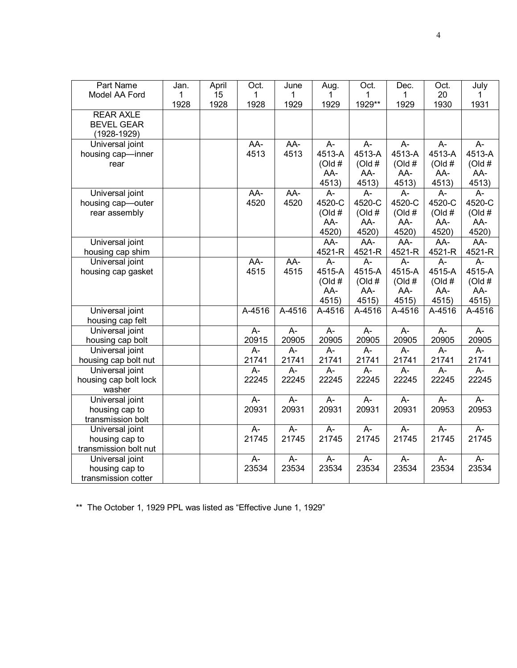| Part Name             | Jan. | April | Oct.           | June           | Aug.           | Oct.           | Dec.             | Oct.             | July           |
|-----------------------|------|-------|----------------|----------------|----------------|----------------|------------------|------------------|----------------|
| Model AA Ford         | 1    | 15    | $\mathbf 1$    | 1              | 1              | 1              | 1                | 20               | $\mathbf 1$    |
|                       | 1928 | 1928  | 1928           | 1929           | 1929           | 1929**         | 1929             | 1930             | 1931           |
| <b>REAR AXLE</b>      |      |       |                |                |                |                |                  |                  |                |
| <b>BEVEL GEAR</b>     |      |       |                |                |                |                |                  |                  |                |
| $(1928 - 1929)$       |      |       |                |                |                |                |                  |                  |                |
| Universal joint       |      |       | AA-            | AA-            | A-             | $A-$           | A-               | $A -$            | A-             |
| housing cap-inner     |      |       | 4513           | 4513           | 4513-A         | 4513-A         | 4513-A           | 4513-A           | 4513-A         |
| rear                  |      |       |                |                | (Old#          | (Old#          | (Old#            | (Old#            | (Old#          |
|                       |      |       |                |                | AA-            | AA-            | AA-              | AA-              | AA-            |
|                       |      |       |                |                | 4513)          | 4513)          | 4513)            | 4513)            | 4513)          |
| Universal joint       |      |       | $AA-$          | AA-            | A-             | A-             | $A -$            | $A-$             | $A-$           |
| housing cap-outer     |      |       | 4520           | 4520           | 4520-C         | 4520-C         | 4520-C           | 4520-C           | 4520-C         |
| rear assembly         |      |       |                |                | (Old#          | (Old#          | (Old#            | (Old#            | (Old#          |
|                       |      |       |                |                | AA-            | AA-            | AA-              | AA-              | AA-            |
|                       |      |       |                |                | 4520)          | 4520)          | 4520)            | 4520)            | 4520)          |
| Universal joint       |      |       |                |                | AA-            | AA-            | AA-              | AA-              | AA-            |
| housing cap shim      |      |       |                |                | 4521-R         | 4521-R         | 4521-R           | 4521-R           | 4521-R         |
| Universal joint       |      |       | AA-            | AA-            | $A-$           | A-             | А-               | $\overline{A}$ - | $A-$           |
| housing cap gasket    |      |       | 4515           | 4515           | 4515-A         | 4515-A         | 4515-A           | 4515-A           | 4515-A         |
|                       |      |       |                |                | (Old#          | (Old#          | (Old#            | (Old#            | (Old#          |
|                       |      |       |                |                | AA-            | AA-            | AA-              | AA-              | AA-            |
|                       |      |       |                |                | 4515)          | 4515)          | 4515)            | 4515)            | 4515)          |
| Universal joint       |      |       | A-4516         | A-4516         | A-4516         | A-4516         | A-4516           | A-4516           | A-4516         |
| housing cap felt      |      |       |                |                |                |                |                  |                  |                |
| Universal joint       |      |       | A-             | $\overline{A}$ | $\overline{A}$ | $\overline{A}$ | $A -$            | $\overline{A}$ - | $\overline{A}$ |
| housing cap bolt      |      |       | 20915          | 20905          | 20905          | 20905          | 20905            | 20905            | 20905          |
| Universal joint       |      |       | $\overline{A}$ | A-             | A-             | A-             | A-               | $\overline{A}$   | $\overline{A}$ |
| housing cap bolt nut  |      |       | 21741          | 21741          | 21741          | 21741          | 21741            | 21741            | 21741          |
| Universal joint       |      |       | A-             | $\overline{A}$ | A-             | $\overline{A}$ | $\overline{A}$ - | $\overline{A}$   | $\overline{A}$ |
| housing cap bolt lock |      |       | 22245          | 22245          | 22245          | 22245          | 22245            | 22245            | 22245          |
| washer                |      |       |                |                |                |                |                  |                  |                |
| Universal joint       |      |       | $A-$           | $A -$          | A-             | A-             | A-               | $A -$            | A-             |
| housing cap to        |      |       | 20931          | 20931          | 20931          | 20931          | 20931            | 20953            | 20953          |
| transmission bolt     |      |       |                |                |                |                |                  |                  |                |
| Universal joint       |      |       | $A-$           | A-             | $\overline{A}$ | $\overline{A}$ | $A -$            | $\overline{A}$   | $\overline{A}$ |
| housing cap to        |      |       | 21745          | 21745          | 21745          | 21745          | 21745            | 21745            | 21745          |
| transmission bolt nut |      |       |                |                |                |                |                  |                  |                |
| Universal joint       |      |       | $A -$          | $A -$          | A-             | A-             | A-               | $A -$            | $\overline{A}$ |
| housing cap to        |      |       | 23534          | 23534          | 23534          | 23534          | 23534            | 23534            | 23534          |
| transmission cotter   |      |       |                |                |                |                |                  |                  |                |

\*\* The October 1, 1929 PPL was listed as "Effective June 1, 1929"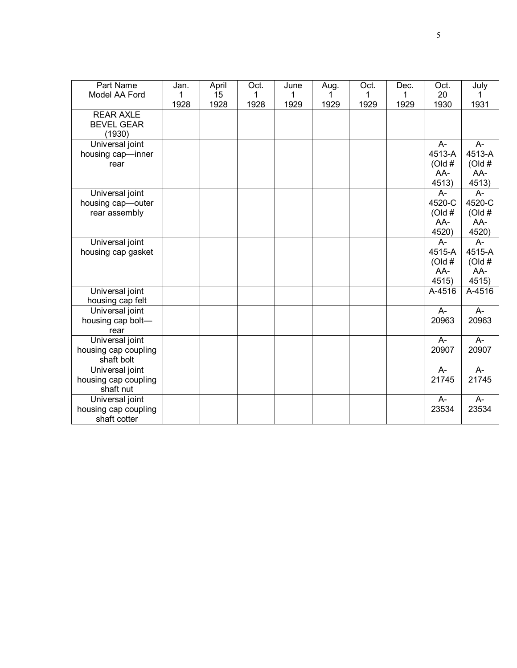| Part Name                               | Jan.      | April      | Oct.      | June      | Aug. | Oct.      | Dec.      | Oct.                 | July            |
|-----------------------------------------|-----------|------------|-----------|-----------|------|-----------|-----------|----------------------|-----------------|
| Model AA Ford                           | 1<br>1928 | 15<br>1928 | 1<br>1928 | 1<br>1929 | 1929 | 1<br>1929 | 1<br>1929 | 20<br>1930           | 1931            |
| <b>REAR AXLE</b>                        |           |            |           |           |      |           |           |                      |                 |
| <b>BEVEL GEAR</b><br>(1930)             |           |            |           |           |      |           |           |                      |                 |
| Universal joint                         |           |            |           |           |      |           |           | $A-$                 | $A-$            |
| housing cap-inner                       |           |            |           |           |      |           |           | 4513-A               | 4513-A          |
| rear                                    |           |            |           |           |      |           |           | (Old#                | (Old#           |
|                                         |           |            |           |           |      |           |           | AA-                  | AA-             |
| Universal joint                         |           |            |           |           |      |           |           | 4513)<br>$A -$       | 4513)<br>A-     |
| housing cap-outer                       |           |            |           |           |      |           |           | 4520-C               | 4520-C          |
| rear assembly                           |           |            |           |           |      |           |           | (Old#                | (Old#           |
|                                         |           |            |           |           |      |           |           | AA-                  | AA-             |
|                                         |           |            |           |           |      |           |           | 4520)                | 4520)           |
| Universal joint                         |           |            |           |           |      |           |           | $A-$                 | $A -$           |
| housing cap gasket                      |           |            |           |           |      |           |           | 4515-A               | 4515-A          |
|                                         |           |            |           |           |      |           |           | (Old#                | (Old#           |
|                                         |           |            |           |           |      |           |           | AA-<br>4515)         | $AA-$           |
| Universal joint                         |           |            |           |           |      |           |           | $\overline{A}$ -4516 | 4515)<br>A-4516 |
| housing cap felt                        |           |            |           |           |      |           |           |                      |                 |
| Universal joint                         |           |            |           |           |      |           |           | $A-$                 | $A -$           |
| housing cap bolt-                       |           |            |           |           |      |           |           | 20963                | 20963           |
| rear                                    |           |            |           |           |      |           |           |                      |                 |
| Universal joint                         |           |            |           |           |      |           |           | $A -$                | $A-$            |
| housing cap coupling                    |           |            |           |           |      |           |           | 20907                | 20907           |
| shaft bolt                              |           |            |           |           |      |           |           | $A -$                |                 |
| Universal joint<br>housing cap coupling |           |            |           |           |      |           |           | 21745                | A-<br>21745     |
| shaft nut                               |           |            |           |           |      |           |           |                      |                 |
| Universal joint                         |           |            |           |           |      |           |           | $A-$                 | $A -$           |
| housing cap coupling                    |           |            |           |           |      |           |           | 23534                | 23534           |
| shaft cotter                            |           |            |           |           |      |           |           |                      |                 |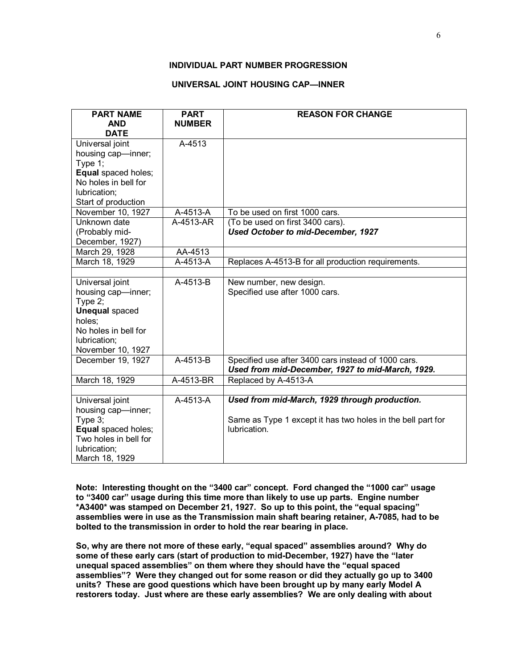## **INDIVIDUAL PART NUMBER PROGRESSION**

### **UNIVERSAL JOINT HOUSING CAP—INNER**

| <b>PART NAME</b>                       | <b>PART</b>   | <b>REASON FOR CHANGE</b>                                    |
|----------------------------------------|---------------|-------------------------------------------------------------|
| <b>AND</b>                             | <b>NUMBER</b> |                                                             |
| <b>DATE</b>                            |               |                                                             |
| Universal joint                        | A-4513        |                                                             |
| housing cap-inner;                     |               |                                                             |
| Type $1$ ;<br>Equal spaced holes;      |               |                                                             |
| No holes in bell for                   |               |                                                             |
| lubrication;                           |               |                                                             |
| Start of production                    |               |                                                             |
| November 10, 1927                      | A-4513-A      | To be used on first 1000 cars.                              |
| Unknown date                           | A-4513-AR     | (To be used on first 3400 cars).                            |
| (Probably mid-                         |               | Used October to mid-December, 1927                          |
| December, 1927)                        |               |                                                             |
| March 29, 1928                         | AA-4513       |                                                             |
| March 18, 1929                         | A-4513-A      | Replaces A-4513-B for all production requirements.          |
|                                        |               |                                                             |
| Universal joint                        | A-4513-B      | New number, new design.                                     |
| housing cap-inner;                     |               | Specified use after 1000 cars.                              |
| Type $2$ ;                             |               |                                                             |
| <b>Unequal spaced</b>                  |               |                                                             |
| holes;                                 |               |                                                             |
| No holes in bell for                   |               |                                                             |
| lubrication;                           |               |                                                             |
| November 10, 1927<br>December 19, 1927 | A-4513-B      | Specified use after 3400 cars instead of 1000 cars.         |
|                                        |               | Used from mid-December, 1927 to mid-March, 1929.            |
| March 18, 1929                         | A-4513-BR     | Replaced by A-4513-A                                        |
|                                        |               |                                                             |
| Universal joint                        | A-4513-A      | Used from mid-March, 1929 through production.               |
| housing cap-inner;                     |               |                                                             |
| Type 3;                                |               | Same as Type 1 except it has two holes in the bell part for |
| Equal spaced holes;                    |               | lubrication.                                                |
| Two holes in bell for                  |               |                                                             |
| lubrication;                           |               |                                                             |
| March 18, 1929                         |               |                                                             |

**Note: Interesting thought on the "3400 car" concept. Ford changed the "1000 car" usage to "3400 car" usage during this time more than likely to use up parts. Engine number \*A3400\* was stamped on December 21, 1927. So up to this point, the "equal spacing" assemblies were in use as the Transmission main shaft bearing retainer, A-7085, had to be bolted to the transmission in order to hold the rear bearing in place.** 

**So, why are there not more of these early, "equal spaced" assemblies around? Why do some of these early cars (start of production to mid-December, 1927) have the "later unequal spaced assemblies" on them where they should have the "equal spaced assemblies"? Were they changed out for some reason or did they actually go up to 3400 units? These are good questions which have been brought up by many early Model A restorers today. Just where are these early assemblies? We are only dealing with about**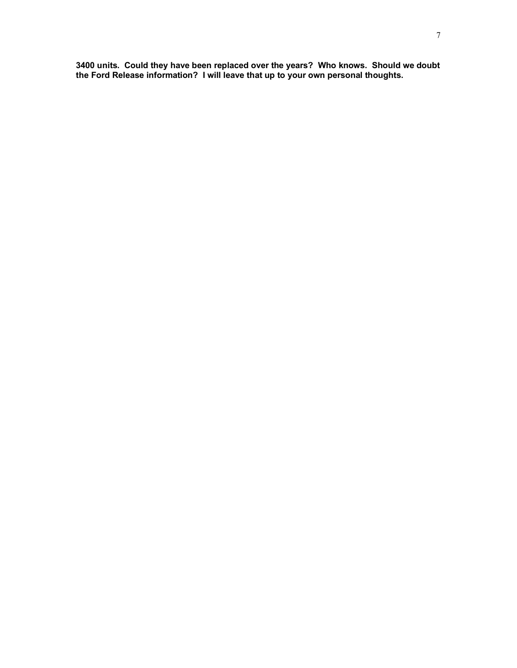**3400 units. Could they have been replaced over the years? Who knows. Should we doubt the Ford Release information? I will leave that up to your own personal thoughts.**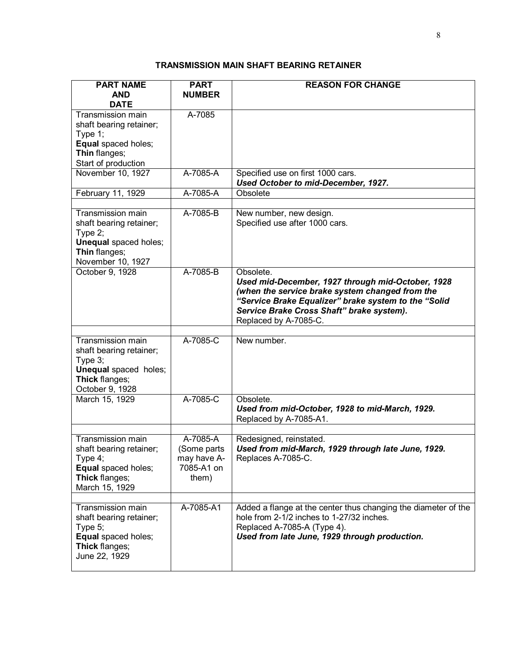# **TRANSMISSION MAIN SHAFT BEARING RETAINER**

| <b>PART NAME</b>                      | <b>PART</b>   | <b>REASON FOR CHANGE</b>                                           |
|---------------------------------------|---------------|--------------------------------------------------------------------|
| <b>AND</b>                            | <b>NUMBER</b> |                                                                    |
| <b>DATE</b>                           |               |                                                                    |
| Transmission main                     | A-7085        |                                                                    |
| shaft bearing retainer;<br>Type 1;    |               |                                                                    |
| Equal spaced holes;                   |               |                                                                    |
| Thin flanges;                         |               |                                                                    |
| Start of production                   |               |                                                                    |
| November 10, 1927                     | A-7085-A      | Specified use on first 1000 cars.                                  |
|                                       |               | Used October to mid-December, 1927.                                |
| February 11, 1929                     | A-7085-A      | Obsolete                                                           |
|                                       |               |                                                                    |
| Transmission main                     | A-7085-B      | New number, new design.                                            |
| shaft bearing retainer;<br>Type $2$ ; |               | Specified use after 1000 cars.                                     |
| <b>Unequal</b> spaced holes;          |               |                                                                    |
| Thin flanges;                         |               |                                                                    |
| November 10, 1927                     |               |                                                                    |
| October 9, 1928                       | A-7085-B      | Obsolete.                                                          |
|                                       |               | Used mid-December, 1927 through mid-October, 1928                  |
|                                       |               | (when the service brake system changed from the                    |
|                                       |               | "Service Brake Equalizer" brake system to the "Solid               |
|                                       |               | Service Brake Cross Shaft" brake system).<br>Replaced by A-7085-C. |
|                                       |               |                                                                    |
| Transmission main                     | A-7085-C      | New number.                                                        |
| shaft bearing retainer;               |               |                                                                    |
| Type 3;                               |               |                                                                    |
| <b>Unequal</b> spaced holes;          |               |                                                                    |
| Thick flanges;                        |               |                                                                    |
| October 9, 1928                       |               |                                                                    |
| March 15, 1929                        | A-7085-C      | Obsolete.<br>Used from mid-October, 1928 to mid-March, 1929.       |
|                                       |               | Replaced by A-7085-A1.                                             |
|                                       |               |                                                                    |
| Transmission main                     | A-7085-A      | Redesigned, reinstated.                                            |
| shaft bearing retainer;               | (Some parts   | Used from mid-March, 1929 through late June, 1929.                 |
| Type 4;                               | may have A-   | Replaces A-7085-C.                                                 |
| Equal spaced holes;                   | 7085-A1 on    |                                                                    |
| Thick flanges;                        | them)         |                                                                    |
| March 15, 1929                        |               |                                                                    |
| Transmission main                     | A-7085-A1     | Added a flange at the center thus changing the diameter of the     |
| shaft bearing retainer;               |               | hole from 2-1/2 inches to 1-27/32 inches.                          |
| Type $5$ ;                            |               | Replaced A-7085-A (Type 4).                                        |
| Equal spaced holes;                   |               | Used from late June, 1929 through production.                      |
| Thick flanges;                        |               |                                                                    |
| June 22, 1929                         |               |                                                                    |
|                                       |               |                                                                    |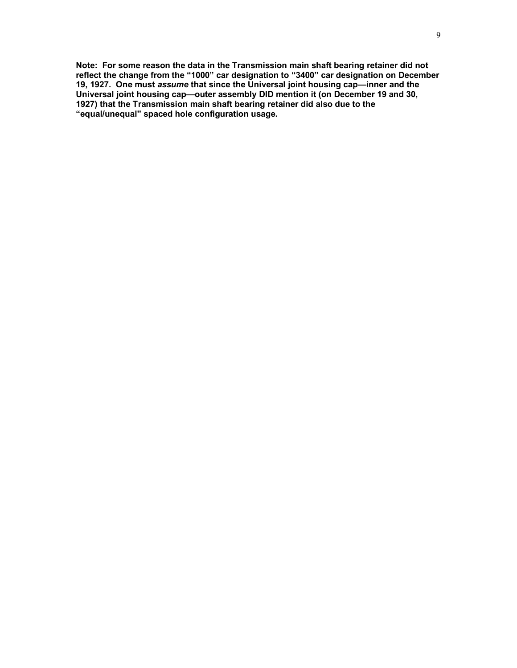**Note: For some reason the data in the Transmission main shaft bearing retainer did not reflect the change from the "1000" car designation to "3400" car designation on December 19, 1927. One must** *assume* **that since the Universal joint housing cap—inner and the Universal joint housing cap—outer assembly DID mention it (on December 19 and 30, 1927) that the Transmission main shaft bearing retainer did also due to the "equal/unequal" spaced hole configuration usage.**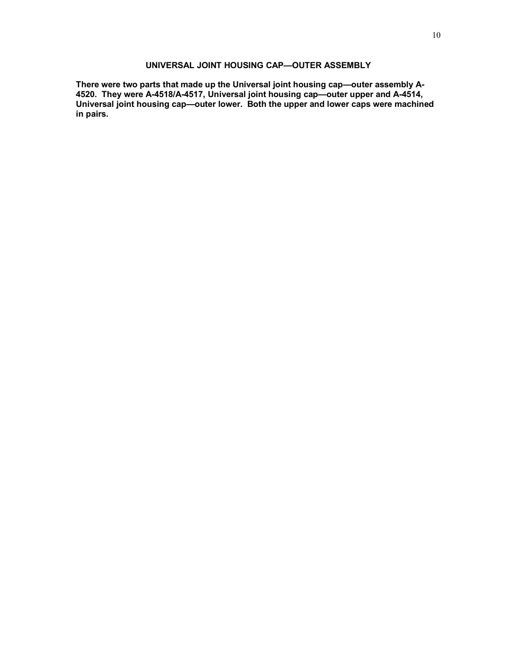## **UNIVERSAL JOINT HOUSING CAP—OUTER ASSEMBLY**

**There were two parts that made up the Universal joint housing cap—outer assembly A-4520. They were A-4518/A-4517, Universal joint housing cap—outer upper and A-4514, Universal joint housing cap—outer lower. Both the upper and lower caps were machined in pairs.**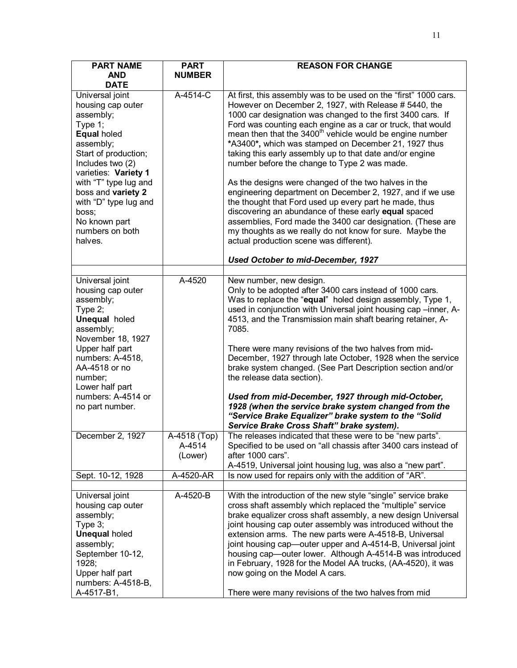| <b>PART NAME</b>                                                                                                                                                                      | <b>PART</b>                       | <b>REASON FOR CHANGE</b>                                                                                                                                                                                                                                                                                                                                                                                                                                                                                                                                                                                   |
|---------------------------------------------------------------------------------------------------------------------------------------------------------------------------------------|-----------------------------------|------------------------------------------------------------------------------------------------------------------------------------------------------------------------------------------------------------------------------------------------------------------------------------------------------------------------------------------------------------------------------------------------------------------------------------------------------------------------------------------------------------------------------------------------------------------------------------------------------------|
| <b>AND</b>                                                                                                                                                                            | <b>NUMBER</b>                     |                                                                                                                                                                                                                                                                                                                                                                                                                                                                                                                                                                                                            |
| <b>DATE</b>                                                                                                                                                                           |                                   |                                                                                                                                                                                                                                                                                                                                                                                                                                                                                                                                                                                                            |
| Universal joint<br>housing cap outer<br>assembly;<br>Type 1;<br>Equal holed<br>assembly;<br>Start of production;<br>Includes two (2)<br>varieties: Variety 1<br>with "T" type lug and | A-4514-C                          | At first, this assembly was to be used on the "first" 1000 cars.<br>However on December 2, 1927, with Release # 5440, the<br>1000 car designation was changed to the first 3400 cars. If<br>Ford was counting each engine as a car or truck, that would<br>mean then that the 3400 <sup>th</sup> vehicle would be engine number<br>*A3400*, which was stamped on December 21, 1927 thus<br>taking this early assembly up to that date and/or engine<br>number before the change to Type 2 was made.<br>As the designs were changed of the two halves in the                                                |
| boss and variety 2<br>with "D" type lug and<br>boss;<br>No known part<br>numbers on both<br>halves.                                                                                   |                                   | engineering department on December 2, 1927, and if we use<br>the thought that Ford used up every part he made, thus<br>discovering an abundance of these early equal spaced<br>assemblies, Ford made the 3400 car designation. (These are<br>my thoughts as we really do not know for sure. Maybe the<br>actual production scene was different).                                                                                                                                                                                                                                                           |
|                                                                                                                                                                                       |                                   | Used October to mid-December, 1927                                                                                                                                                                                                                                                                                                                                                                                                                                                                                                                                                                         |
| Universal joint                                                                                                                                                                       | A-4520                            | New number, new design.                                                                                                                                                                                                                                                                                                                                                                                                                                                                                                                                                                                    |
| housing cap outer<br>assembly;<br>Type 2;<br><b>Unequal</b> holed<br>assembly;<br>November 18, 1927                                                                                   |                                   | Only to be adopted after 3400 cars instead of 1000 cars.<br>Was to replace the "equal" holed design assembly, Type 1,<br>used in conjunction with Universal joint housing cap -inner, A-<br>4513, and the Transmission main shaft bearing retainer, A-<br>7085.                                                                                                                                                                                                                                                                                                                                            |
| Upper half part<br>numbers: A-4518,<br>AA-4518 or no<br>number;<br>Lower half part                                                                                                    |                                   | There were many revisions of the two halves from mid-<br>December, 1927 through late October, 1928 when the service<br>brake system changed. (See Part Description section and/or<br>the release data section).                                                                                                                                                                                                                                                                                                                                                                                            |
| numbers: A-4514 or<br>no part number.                                                                                                                                                 |                                   | Used from mid-December, 1927 through mid-October,<br>1928 (when the service brake system changed from the<br>"Service Brake Equalizer" brake system to the "Solid<br>Service Brake Cross Shaft" brake system).                                                                                                                                                                                                                                                                                                                                                                                             |
| December 2, 1927                                                                                                                                                                      | A-4518 (Top)<br>A-4514<br>(Lower) | The releases indicated that these were to be "new parts".<br>Specified to be used on "all chassis after 3400 cars instead of<br>after 1000 cars".<br>A-4519, Universal joint housing lug, was also a "new part".                                                                                                                                                                                                                                                                                                                                                                                           |
| Sept. 10-12, 1928                                                                                                                                                                     | A-4520-AR                         | Is now used for repairs only with the addition of "AR".                                                                                                                                                                                                                                                                                                                                                                                                                                                                                                                                                    |
|                                                                                                                                                                                       |                                   |                                                                                                                                                                                                                                                                                                                                                                                                                                                                                                                                                                                                            |
| Universal joint<br>housing cap outer<br>assembly;<br>Type 3;<br><b>Unequal holed</b><br>assembly;<br>September 10-12,<br>1928;<br>Upper half part<br>numbers: A-4518-B,<br>A-4517-B1, | A-4520-B                          | With the introduction of the new style "single" service brake<br>cross shaft assembly which replaced the "multiple" service<br>brake equalizer cross shaft assembly, a new design Universal<br>joint housing cap outer assembly was introduced without the<br>extension arms. The new parts were A-4518-B, Universal<br>joint housing cap—outer upper and A-4514-B, Universal joint<br>housing cap—outer lower. Although A-4514-B was introduced<br>in February, 1928 for the Model AA trucks, (AA-4520), it was<br>now going on the Model A cars.<br>There were many revisions of the two halves from mid |